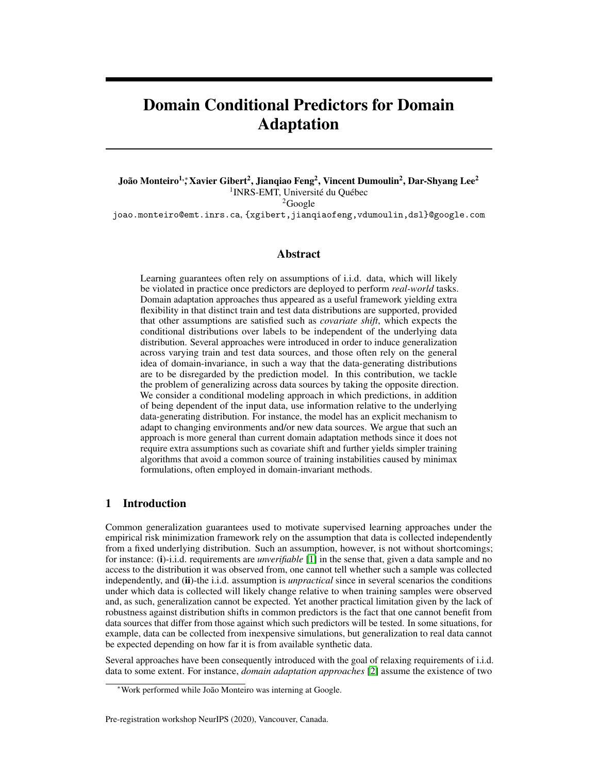# Domain Conditional Predictors for Domain Adaptation

João Monteiro<sup>1,</sup>\* Xavier Gibert<sup>2</sup>, Jianqiao Feng<sup>2</sup>, Vincent Dumoulin<sup>2</sup>, Dar-Shyang Lee<sup>2</sup> <sup>1</sup>INRS-EMT, Université du Québec  ${}^{2}$ Google

joao.monteiro@emt.inrs.ca, {xgibert,jianqiaofeng,vdumoulin,dsl}@google.com

## Abstract

Learning guarantees often rely on assumptions of i.i.d. data, which will likely be violated in practice once predictors are deployed to perform *real-world* tasks. Domain adaptation approaches thus appeared as a useful framework yielding extra flexibility in that distinct train and test data distributions are supported, provided that other assumptions are satisfied such as *covariate shift*, which expects the conditional distributions over labels to be independent of the underlying data distribution. Several approaches were introduced in order to induce generalization across varying train and test data sources, and those often rely on the general idea of domain-invariance, in such a way that the data-generating distributions are to be disregarded by the prediction model. In this contribution, we tackle the problem of generalizing across data sources by taking the opposite direction. We consider a conditional modeling approach in which predictions, in addition of being dependent of the input data, use information relative to the underlying data-generating distribution. For instance, the model has an explicit mechanism to adapt to changing environments and/or new data sources. We argue that such an approach is more general than current domain adaptation methods since it does not require extra assumptions such as covariate shift and further yields simpler training algorithms that avoid a common source of training instabilities caused by minimax formulations, often employed in domain-invariant methods.

## 1 Introduction

Common generalization guarantees used to motivate supervised learning approaches under the empirical risk minimization framework rely on the assumption that data is collected independently from a fixed underlying distribution. Such an assumption, however, is not without shortcomings; for instance: (i)-i.i.d. requirements are *unverifiable* [\[1\]](#page-6-0) in the sense that, given a data sample and no access to the distribution it was observed from, one cannot tell whether such a sample was collected independently, and (ii)-the i.i.d. assumption is *unpractical* since in several scenarios the conditions under which data is collected will likely change relative to when training samples were observed and, as such, generalization cannot be expected. Yet another practical limitation given by the lack of robustness against distribution shifts in common predictors is the fact that one cannot benefit from data sources that differ from those against which such predictors will be tested. In some situations, for example, data can be collected from inexpensive simulations, but generalization to real data cannot be expected depending on how far it is from available synthetic data.

Several approaches have been consequently introduced with the goal of relaxing requirements of i.i.d. data to some extent. For instance, *domain adaptation approaches* [\[2\]](#page-6-1) assume the existence of two

<sup>∗</sup>Work performed while João Monteiro was interning at Google.

Pre-registration workshop NeurIPS (2020), Vancouver, Canada.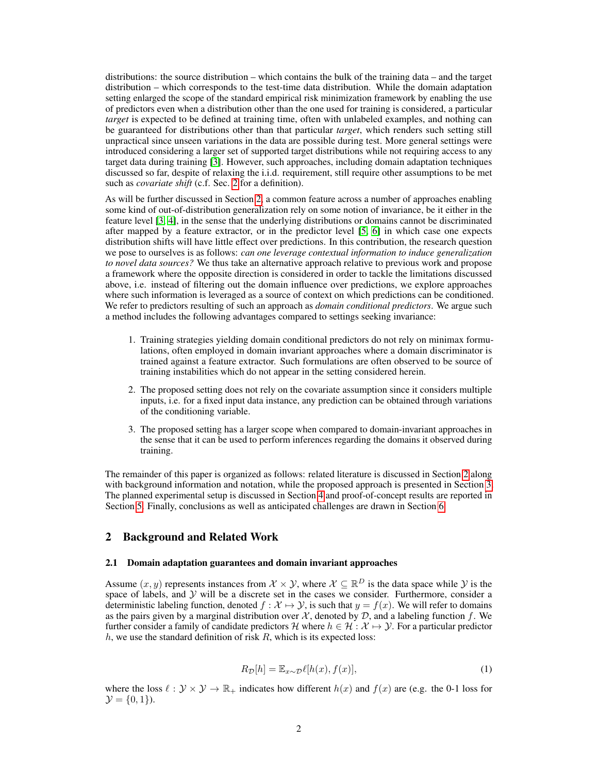distributions: the source distribution – which contains the bulk of the training data – and the target distribution – which corresponds to the test-time data distribution. While the domain adaptation setting enlarged the scope of the standard empirical risk minimization framework by enabling the use of predictors even when a distribution other than the one used for training is considered, a particular *target* is expected to be defined at training time, often with unlabeled examples, and nothing can be guaranteed for distributions other than that particular *target*, which renders such setting still unpractical since unseen variations in the data are possible during test. More general settings were introduced considering a larger set of supported target distributions while not requiring access to any target data during training [\[3\]](#page-6-2). However, such approaches, including domain adaptation techniques discussed so far, despite of relaxing the i.i.d. requirement, still require other assumptions to be met such as *covariate shift* (c.f. Sec. [2](#page-1-0) for a definition).

As will be further discussed in Section [2,](#page-1-0) a common feature across a number of approaches enabling some kind of out-of-distribution generalization rely on some notion of invariance, be it either in the feature level [\[3,](#page-6-2) [4\]](#page-6-3), in the sense that the underlying distributions or domains cannot be discriminated after mapped by a feature extractor, or in the predictor level [\[5,](#page-6-4) [6\]](#page-6-5) in which case one expects distribution shifts will have little effect over predictions. In this contribution, the research question we pose to ourselves is as follows: *can one leverage contextual information to induce generalization to novel data sources?* We thus take an alternative approach relative to previous work and propose a framework where the opposite direction is considered in order to tackle the limitations discussed above, i.e. instead of filtering out the domain influence over predictions, we explore approaches where such information is leveraged as a source of context on which predictions can be conditioned. We refer to predictors resulting of such an approach as *domain conditional predictors*. We argue such a method includes the following advantages compared to settings seeking invariance:

- 1. Training strategies yielding domain conditional predictors do not rely on minimax formulations, often employed in domain invariant approaches where a domain discriminator is trained against a feature extractor. Such formulations are often observed to be source of training instabilities which do not appear in the setting considered herein.
- 2. The proposed setting does not rely on the covariate assumption since it considers multiple inputs, i.e. for a fixed input data instance, any prediction can be obtained through variations of the conditioning variable.
- 3. The proposed setting has a larger scope when compared to domain-invariant approaches in the sense that it can be used to perform inferences regarding the domains it observed during training.

The remainder of this paper is organized as follows: related literature is discussed in Section [2](#page-1-0) along with background information and notation, while the proposed approach is presented in Section [3.](#page-2-0) The planned experimental setup is discussed in Section [4](#page-3-0) and proof-of-concept results are reported in Section [5.](#page-4-0) Finally, conclusions as well as anticipated challenges are drawn in Section [6.](#page-5-0)

#### <span id="page-1-0"></span>2 Background and Related Work

#### 2.1 Domain adaptation guarantees and domain invariant approaches

Assume  $(x, y)$  represents instances from  $\mathcal{X} \times \mathcal{Y}$ , where  $\mathcal{X} \subseteq \mathbb{R}^D$  is the data space while  $\mathcal{Y}$  is the space of labels, and  $Y$  will be a discrete set in the cases we consider. Furthermore, consider a deterministic labeling function, denoted  $f : \mathcal{X} \mapsto \mathcal{Y}$ , is such that  $y = f(x)$ . We will refer to domains as the pairs given by a marginal distribution over  $\mathcal{X}$ , denoted by  $\mathcal{D}$ , and a labeling function f. We further consider a family of candidate predictors H where  $h \in \mathcal{H} : \mathcal{X} \mapsto \mathcal{Y}$ . For a particular predictor  $h$ , we use the standard definition of risk  $R$ , which is its expected loss:

$$
R_{\mathcal{D}}[h] = \mathbb{E}_{x \sim \mathcal{D}} \ell[h(x), f(x)],\tag{1}
$$

where the loss  $\ell : \mathcal{Y} \times \mathcal{Y} \to \mathbb{R}_+$  indicates how different  $h(x)$  and  $f(x)$  are (e.g. the 0-1 loss for  $\mathcal{Y} = \{0, 1\}.$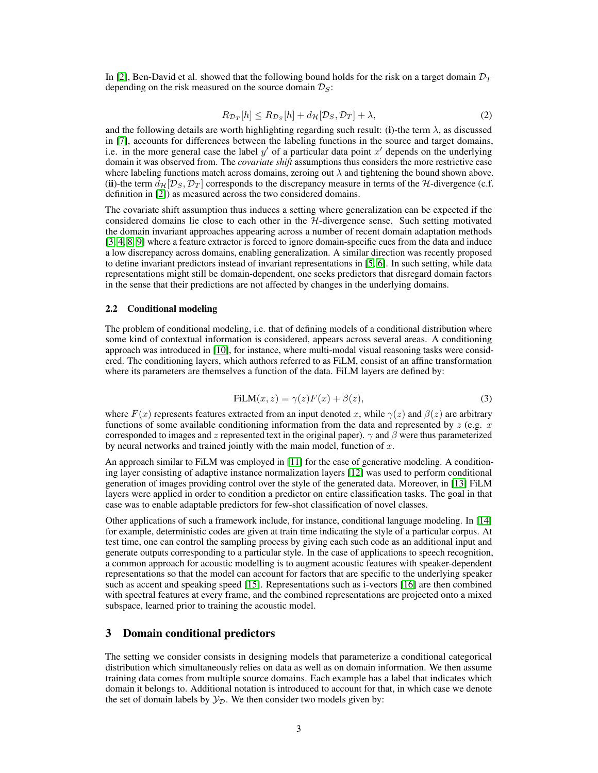In [\[2\]](#page-6-1), Ben-David et al. showed that the following bound holds for the risk on a target domain  $\mathcal{D}_T$ depending on the risk measured on the source domain  $\mathcal{D}_S$ :

$$
R_{\mathcal{D}_T}[h] \le R_{\mathcal{D}_S}[h] + d_{\mathcal{H}}[\mathcal{D}_S, \mathcal{D}_T] + \lambda,\tag{2}
$$

and the following details are worth highlighting regarding such result: (i)-the term  $\lambda$ , as discussed in [\[7\]](#page-6-6), accounts for differences between the labeling functions in the source and target domains, i.e. in the more general case the label  $y'$  of a particular data point  $x'$  depends on the underlying domain it was observed from. The *covariate shift* assumptions thus considers the more restrictive case where labeling functions match across domains, zeroing out  $\lambda$  and tightening the bound shown above. (ii)-the term  $d_{\mathcal{H}}[D_S, \mathcal{D}_T]$  corresponds to the discrepancy measure in terms of the H-divergence (c.f. definition in [\[2\]](#page-6-1)) as measured across the two considered domains.

The covariate shift assumption thus induces a setting where generalization can be expected if the considered domains lie close to each other in the H-divergence sense. Such setting motivated the domain invariant approaches appearing across a number of recent domain adaptation methods [\[3,](#page-6-2) [4,](#page-6-3) [8,](#page-6-7) [9\]](#page-6-8) where a feature extractor is forced to ignore domain-specific cues from the data and induce a low discrepancy across domains, enabling generalization. A similar direction was recently proposed to define invariant predictors instead of invariant representations in [\[5,](#page-6-4) [6\]](#page-6-5). In such setting, while data representations might still be domain-dependent, one seeks predictors that disregard domain factors in the sense that their predictions are not affected by changes in the underlying domains.

#### 2.2 Conditional modeling

The problem of conditional modeling, i.e. that of defining models of a conditional distribution where some kind of contextual information is considered, appears across several areas. A conditioning approach was introduced in [\[10\]](#page-6-9), for instance, where multi-modal visual reasoning tasks were considered. The conditioning layers, which authors referred to as FiLM, consist of an affine transformation where its parameters are themselves a function of the data. FiLM layers are defined by:

$$
FiLM(x, z) = \gamma(z)F(x) + \beta(z),\tag{3}
$$

<span id="page-2-1"></span>where  $F(x)$  represents features extracted from an input denoted x, while  $\gamma(z)$  and  $\beta(z)$  are arbitrary functions of some available conditioning information from the data and represented by  $z$  (e.g.  $x$ ) corresponded to images and z represented text in the original paper).  $\gamma$  and  $\beta$  were thus parameterized by neural networks and trained jointly with the main model, function of  $x$ .

An approach similar to FiLM was employed in [\[11\]](#page-6-10) for the case of generative modeling. A conditioning layer consisting of adaptive instance normalization layers [\[12\]](#page-6-11) was used to perform conditional generation of images providing control over the style of the generated data. Moreover, in [\[13\]](#page-6-12) FiLM layers were applied in order to condition a predictor on entire classification tasks. The goal in that case was to enable adaptable predictors for few-shot classification of novel classes.

Other applications of such a framework include, for instance, conditional language modeling. In [\[14\]](#page-6-13) for example, deterministic codes are given at train time indicating the style of a particular corpus. At test time, one can control the sampling process by giving each such code as an additional input and generate outputs corresponding to a particular style. In the case of applications to speech recognition, a common approach for acoustic modelling is to augment acoustic features with speaker-dependent representations so that the model can account for factors that are specific to the underlying speaker such as accent and speaking speed [\[15\]](#page-6-14). Representations such as i-vectors [\[16\]](#page-6-15) are then combined with spectral features at every frame, and the combined representations are projected onto a mixed subspace, learned prior to training the acoustic model.

## <span id="page-2-0"></span>3 Domain conditional predictors

The setting we consider consists in designing models that parameterize a conditional categorical distribution which simultaneously relies on data as well as on domain information. We then assume training data comes from multiple source domains. Each example has a label that indicates which domain it belongs to. Additional notation is introduced to account for that, in which case we denote the set of domain labels by  $\mathcal{Y}_{\mathcal{D}}$ . We then consider two models given by: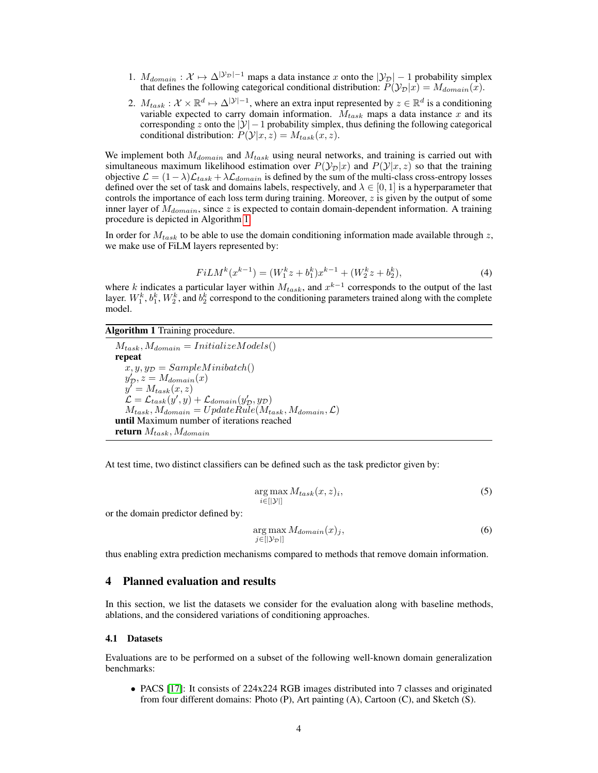- 1.  $M_{domain}: \mathcal{X} \mapsto \Delta^{|\mathcal{Y}_{\mathcal{D}}|-1}$  maps a data instance x onto the  $|\mathcal{Y}_{\mathcal{D}}|-1$  probability simplex that defines the following categorical conditional distribution:  $\tilde{P}(\mathcal{Y}_D|x) = M_{domain}(x)$ .
- 2.  $M_{task} : \mathcal{X} \times \mathbb{R}^d \mapsto \Delta^{|\mathcal{Y}|-1}$ , where an extra input represented by  $z \in \mathbb{R}^d$  is a conditioning variable expected to carry domain information.  $M_{task}$  maps a data instance x and its corresponding z onto the  $|\mathcal{Y}| - 1$  probability simplex, thus defining the following categorical conditional distribution:  $P(\mathcal{Y}|x, z) = M_{task}(x, z)$ .

We implement both  $M_{domain}$  and  $M_{task}$  using neural networks, and training is carried out with simultaneous maximum likelihood estimation over  $P(\mathcal{Y}_D|x)$  and  $P(\mathcal{Y}|x, z)$  so that the training objective  $\mathcal{L} = (1 - \lambda)\mathcal{L}_{task} + \lambda\mathcal{L}_{domain}$  is defined by the sum of the multi-class cross-entropy losses defined over the set of task and domains labels, respectively, and  $\lambda \in [0, 1]$  is a hyperparameter that controls the importance of each loss term during training. Moreover,  $z$  is given by the output of some inner layer of  $M_{domain}$ , since z is expected to contain domain-dependent information. A training procedure is depicted in Algorithm [1.](#page-3-1)

In order for  $M_{task}$  to be able to use the domain conditioning information made available through z, we make use of FiLM layers represented by:

$$
FiLM^{k}(x^{k-1}) = (W_1^{k}z + b_1^{k})x^{k-1} + (W_2^{k}z + b_2^{k}),
$$
\n(4)

where k indicates a particular layer within  $M_{task}$ , and  $x^{k-1}$  corresponds to the output of the last layer.  $W_1^k$ ,  $b_1^k$ ,  $W_2^k$ , and  $b_2^k$  correspond to the conditioning parameters trained along with the complete model.

#### <span id="page-3-1"></span>Algorithm 1 Training procedure.

 $M_{task}, M_{domain} = InitializeModels()$ repeat  $x, y, y_{\mathcal{D}} = SampleMinibatch()$  $y'_{\mathcal{D}}, z = M_{domain}(x)$  $y' = M_{task}(x, z)$  $\mathcal{L} = \mathcal{L}_{task}(y', y) + \mathcal{L}_{domain}(y'_{\mathcal{D}}, y_{\mathcal{D}})$  $M_{task}, M_{domain} = UpdateRule(M_{task}, M_{domain}, \mathcal{L})$ until Maximum number of iterations reached return  $M_{task}, M_{domain}$ 

At test time, two distinct classifiers can be defined such as the task predictor given by:

$$
\underset{i \in [|\mathcal{Y}|]}{\arg \max} M_{task}(x, z)_i,\tag{5}
$$

or the domain predictor defined by:

$$
\arg\max_{j \in [|\mathcal{Y}_{\mathcal{D}}|]} M_{domain}(x)_j,\tag{6}
$$

thus enabling extra prediction mechanisms compared to methods that remove domain information.

## <span id="page-3-0"></span>4 Planned evaluation and results

In this section, we list the datasets we consider for the evaluation along with baseline methods, ablations, and the considered variations of conditioning approaches.

#### 4.1 Datasets

Evaluations are to be performed on a subset of the following well-known domain generalization benchmarks:

• PACS [\[17\]](#page-6-16): It consists of 224x224 RGB images distributed into 7 classes and originated from four different domains: Photo (P), Art painting (A), Cartoon (C), and Sketch (S).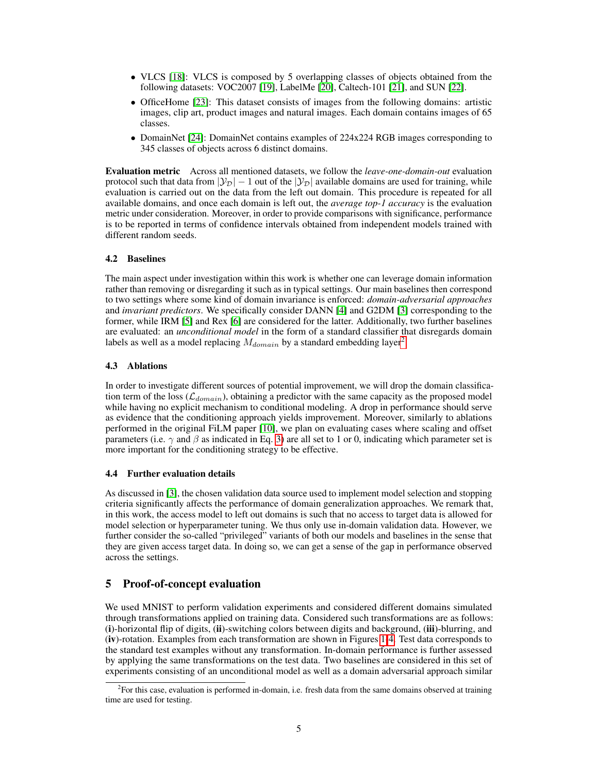- VLCS [\[18\]](#page-6-17): VLCS is composed by 5 overlapping classes of objects obtained from the following datasets: VOC2007 [\[19\]](#page-6-18), LabelMe [\[20\]](#page-7-0), Caltech-101 [\[21\]](#page-7-1), and SUN [\[22\]](#page-7-2).
- OfficeHome [\[23\]](#page-7-3): This dataset consists of images from the following domains: artistic images, clip art, product images and natural images. Each domain contains images of 65 classes.
- DomainNet [\[24\]](#page-7-4): DomainNet contains examples of 224x224 RGB images corresponding to 345 classes of objects across 6 distinct domains.

Evaluation metric Across all mentioned datasets, we follow the *leave-one-domain-out* evaluation protocol such that data from  $|\mathcal{Y}_D| - 1$  out of the  $|\mathcal{Y}_D|$  available domains are used for training, while evaluation is carried out on the data from the left out domain. This procedure is repeated for all available domains, and once each domain is left out, the *average top-1 accuracy* is the evaluation metric under consideration. Moreover, in order to provide comparisons with significance, performance is to be reported in terms of confidence intervals obtained from independent models trained with different random seeds.

### 4.2 Baselines

The main aspect under investigation within this work is whether one can leverage domain information rather than removing or disregarding it such as in typical settings. Our main baselines then correspond to two settings where some kind of domain invariance is enforced: *domain-adversarial approaches* and *invariant predictors*. We specifically consider DANN [\[4\]](#page-6-3) and G2DM [\[3\]](#page-6-2) corresponding to the former, while IRM [\[5\]](#page-6-4) and Rex [\[6\]](#page-6-5) are considered for the latter. Additionally, two further baselines are evaluated: an *unconditional model* in the form of a standard classifier that disregards domain labels as well as a model replacing  $M_{domain}$  by a standard embedding layer<sup>[2](#page-4-1)</sup>.

#### 4.3 Ablations

In order to investigate different sources of potential improvement, we will drop the domain classification term of the loss ( $\mathcal{L}_{domain}$ ), obtaining a predictor with the same capacity as the proposed model while having no explicit mechanism to conditional modeling. A drop in performance should serve as evidence that the conditioning approach yields improvement. Moreover, similarly to ablations performed in the original FiLM paper [\[10\]](#page-6-9), we plan on evaluating cases where scaling and offset parameters (i.e.  $\gamma$  and  $\beta$  as indicated in Eq. [3\)](#page-2-1) are all set to 1 or 0, indicating which parameter set is more important for the conditioning strategy to be effective.

#### 4.4 Further evaluation details

As discussed in [\[3\]](#page-6-2), the chosen validation data source used to implement model selection and stopping criteria significantly affects the performance of domain generalization approaches. We remark that, in this work, the access model to left out domains is such that no access to target data is allowed for model selection or hyperparameter tuning. We thus only use in-domain validation data. However, we further consider the so-called "privileged" variants of both our models and baselines in the sense that they are given access target data. In doing so, we can get a sense of the gap in performance observed across the settings.

# <span id="page-4-0"></span>5 Proof-of-concept evaluation

We used MNIST to perform validation experiments and considered different domains simulated through transformations applied on training data. Considered such transformations are as follows: (i)-horizontal flip of digits, (ii)-switching colors between digits and background, (iii)-blurring, and (iv)-rotation. Examples from each transformation are shown in Figures [1](#page-5-1)[-4.](#page-5-2) Test data corresponds to the standard test examples without any transformation. In-domain performance is further assessed by applying the same transformations on the test data. Two baselines are considered in this set of experiments consisting of an unconditional model as well as a domain adversarial approach similar

<span id="page-4-1"></span><sup>2</sup> For this case, evaluation is performed in-domain, i.e. fresh data from the same domains observed at training time are used for testing.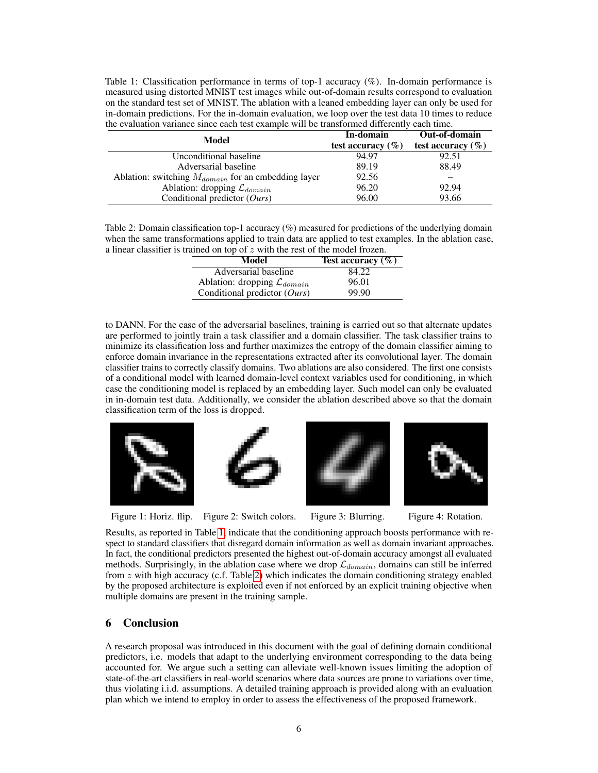<span id="page-5-3"></span>Table 1: Classification performance in terms of top-1 accuracy (%). In-domain performance is measured using distorted MNIST test images while out-of-domain results correspond to evaluation on the standard test set of MNIST. The ablation with a leaned embedding layer can only be used for in-domain predictions. For the in-domain evaluation, we loop over the test data 10 times to reduce the evaluation variance since each test example will be transformed differently each time.

| Model                                                   | In-domain             | Out-of-domain         |
|---------------------------------------------------------|-----------------------|-----------------------|
|                                                         | test accuracy $(\% )$ | test accuracy $(\% )$ |
| Unconditional baseline                                  | 94.97                 | 92.51                 |
| Adversarial baseline                                    | 89.19                 | 88.49                 |
| Ablation: switching $M_{domain}$ for an embedding layer | 92.56                 |                       |
| Ablation: dropping $\mathcal{L}_{domain}$               | 96.20                 | 92.94                 |
| Conditional predictor $(Ours)$                          | 96.00                 | 93.66                 |

<span id="page-5-4"></span>Table 2: Domain classification top-1 accuracy (%) measured for predictions of the underlying domain when the same transformations applied to train data are applied to test examples. In the ablation case, a linear classifier is trained on top of z with the rest of the model frozen.

| Model                                     | Test accuracy $(\% )$ |  |
|-------------------------------------------|-----------------------|--|
| Adversarial baseline                      | 84.22                 |  |
| Ablation: dropping $\mathcal{L}_{domain}$ | 96.01                 |  |
| Conditional predictor $(Ours)$            | 99.90                 |  |

to DANN. For the case of the adversarial baselines, training is carried out so that alternate updates are performed to jointly train a task classifier and a domain classifier. The task classifier trains to minimize its classification loss and further maximizes the entropy of the domain classifier aiming to enforce domain invariance in the representations extracted after its convolutional layer. The domain classifier trains to correctly classify domains. Two ablations are also considered. The first one consists of a conditional model with learned domain-level context variables used for conditioning, in which case the conditioning model is replaced by an embedding layer. Such model can only be evaluated in in-domain test data. Additionally, we consider the ablation described above so that the domain classification term of the loss is dropped.



Figure 1: Horiz. flip. Figure 2: Switch colors. Figure 3: Blurring. Figure 4: Rotation.

<span id="page-5-2"></span>

<span id="page-5-1"></span>Results, as reported in Table [1,](#page-5-3) indicate that the conditioning approach boosts performance with respect to standard classifiers that disregard domain information as well as domain invariant approaches. In fact, the conditional predictors presented the highest out-of-domain accuracy amongst all evaluated methods. Surprisingly, in the ablation case where we drop  $\mathcal{L}_{domain}$ , domains can still be inferred from z with high accuracy (c.f. Table [2\)](#page-5-4) which indicates the domain conditioning strategy enabled by the proposed architecture is exploited even if not enforced by an explicit training objective when multiple domains are present in the training sample.

# <span id="page-5-0"></span>6 Conclusion

A research proposal was introduced in this document with the goal of defining domain conditional predictors, i.e. models that adapt to the underlying environment corresponding to the data being accounted for. We argue such a setting can alleviate well-known issues limiting the adoption of state-of-the-art classifiers in real-world scenarios where data sources are prone to variations over time, thus violating i.i.d. assumptions. A detailed training approach is provided along with an evaluation plan which we intend to employ in order to assess the effectiveness of the proposed framework.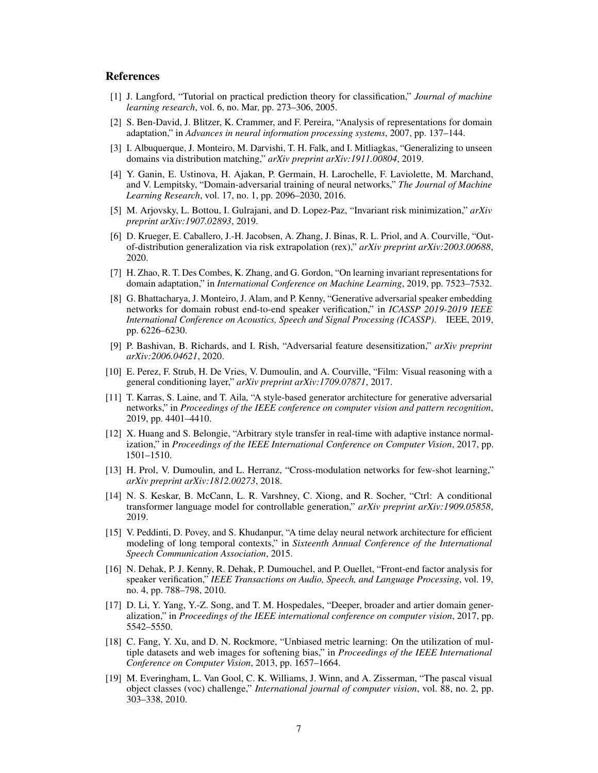# References

- <span id="page-6-0"></span>[1] J. Langford, "Tutorial on practical prediction theory for classification," *Journal of machine learning research*, vol. 6, no. Mar, pp. 273–306, 2005.
- <span id="page-6-1"></span>[2] S. Ben-David, J. Blitzer, K. Crammer, and F. Pereira, "Analysis of representations for domain adaptation," in *Advances in neural information processing systems*, 2007, pp. 137–144.
- <span id="page-6-2"></span>[3] I. Albuquerque, J. Monteiro, M. Darvishi, T. H. Falk, and I. Mitliagkas, "Generalizing to unseen domains via distribution matching," *arXiv preprint arXiv:1911.00804*, 2019.
- <span id="page-6-3"></span>[4] Y. Ganin, E. Ustinova, H. Ajakan, P. Germain, H. Larochelle, F. Laviolette, M. Marchand, and V. Lempitsky, "Domain-adversarial training of neural networks," *The Journal of Machine Learning Research*, vol. 17, no. 1, pp. 2096–2030, 2016.
- <span id="page-6-4"></span>[5] M. Arjovsky, L. Bottou, I. Gulrajani, and D. Lopez-Paz, "Invariant risk minimization," *arXiv preprint arXiv:1907.02893*, 2019.
- <span id="page-6-5"></span>[6] D. Krueger, E. Caballero, J.-H. Jacobsen, A. Zhang, J. Binas, R. L. Priol, and A. Courville, "Outof-distribution generalization via risk extrapolation (rex)," *arXiv preprint arXiv:2003.00688*, 2020.
- <span id="page-6-6"></span>[7] H. Zhao, R. T. Des Combes, K. Zhang, and G. Gordon, "On learning invariant representations for domain adaptation," in *International Conference on Machine Learning*, 2019, pp. 7523–7532.
- <span id="page-6-7"></span>[8] G. Bhattacharya, J. Monteiro, J. Alam, and P. Kenny, "Generative adversarial speaker embedding networks for domain robust end-to-end speaker verification," in *ICASSP 2019-2019 IEEE International Conference on Acoustics, Speech and Signal Processing (ICASSP)*. IEEE, 2019, pp. 6226–6230.
- <span id="page-6-8"></span>[9] P. Bashivan, B. Richards, and I. Rish, "Adversarial feature desensitization," *arXiv preprint arXiv:2006.04621*, 2020.
- <span id="page-6-9"></span>[10] E. Perez, F. Strub, H. De Vries, V. Dumoulin, and A. Courville, "Film: Visual reasoning with a general conditioning layer," *arXiv preprint arXiv:1709.07871*, 2017.
- <span id="page-6-10"></span>[11] T. Karras, S. Laine, and T. Aila, "A style-based generator architecture for generative adversarial networks," in *Proceedings of the IEEE conference on computer vision and pattern recognition*, 2019, pp. 4401–4410.
- <span id="page-6-11"></span>[12] X. Huang and S. Belongie, "Arbitrary style transfer in real-time with adaptive instance normalization," in *Proceedings of the IEEE International Conference on Computer Vision*, 2017, pp. 1501–1510.
- <span id="page-6-12"></span>[13] H. Prol, V. Dumoulin, and L. Herranz, "Cross-modulation networks for few-shot learning," *arXiv preprint arXiv:1812.00273*, 2018.
- <span id="page-6-13"></span>[14] N. S. Keskar, B. McCann, L. R. Varshney, C. Xiong, and R. Socher, "Ctrl: A conditional transformer language model for controllable generation," *arXiv preprint arXiv:1909.05858*, 2019.
- <span id="page-6-14"></span>[15] V. Peddinti, D. Povey, and S. Khudanpur, "A time delay neural network architecture for efficient modeling of long temporal contexts," in *Sixteenth Annual Conference of the International Speech Communication Association*, 2015.
- <span id="page-6-15"></span>[16] N. Dehak, P. J. Kenny, R. Dehak, P. Dumouchel, and P. Ouellet, "Front-end factor analysis for speaker verification," *IEEE Transactions on Audio, Speech, and Language Processing*, vol. 19, no. 4, pp. 788–798, 2010.
- <span id="page-6-16"></span>[17] D. Li, Y. Yang, Y.-Z. Song, and T. M. Hospedales, "Deeper, broader and artier domain generalization," in *Proceedings of the IEEE international conference on computer vision*, 2017, pp. 5542–5550.
- <span id="page-6-17"></span>[18] C. Fang, Y. Xu, and D. N. Rockmore, "Unbiased metric learning: On the utilization of multiple datasets and web images for softening bias," in *Proceedings of the IEEE International Conference on Computer Vision*, 2013, pp. 1657–1664.
- <span id="page-6-18"></span>[19] M. Everingham, L. Van Gool, C. K. Williams, J. Winn, and A. Zisserman, "The pascal visual object classes (voc) challenge," *International journal of computer vision*, vol. 88, no. 2, pp. 303–338, 2010.